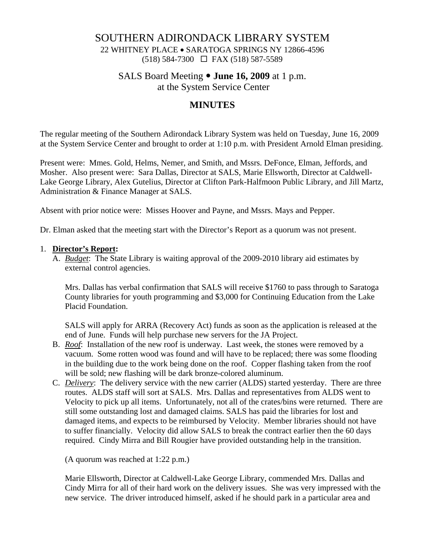## SOUTHERN ADIRONDACK LIBRARY SYSTEM

22 WHITNEY PLACE • SARATOGA SPRINGS NY 12866-4596 (518) 584-7300 FAX (518) 587-5589

# SALS Board Meeting  $\bullet$  **June 16, 2009** at 1 p.m.

at the System Service Center

## **MINUTES**

The regular meeting of the Southern Adirondack Library System was held on Tuesday, June 16, 2009 at the System Service Center and brought to order at 1:10 p.m. with President Arnold Elman presiding.

Present were: Mmes. Gold, Helms, Nemer, and Smith, and Mssrs. DeFonce, Elman, Jeffords, and Mosher. Also present were: Sara Dallas, Director at SALS, Marie Ellsworth, Director at Caldwell-Lake George Library, Alex Gutelius, Director at Clifton Park-Halfmoon Public Library, and Jill Martz, Administration & Finance Manager at SALS.

Absent with prior notice were: Misses Hoover and Payne, and Mssrs. Mays and Pepper.

Dr. Elman asked that the meeting start with the Director's Report as a quorum was not present.

#### 1. **Director's Report:**

A. *Budget*: The State Library is waiting approval of the 2009-2010 library aid estimates by external control agencies.

Mrs. Dallas has verbal confirmation that SALS will receive \$1760 to pass through to Saratoga County libraries for youth programming and \$3,000 for Continuing Education from the Lake Placid Foundation.

SALS will apply for ARRA (Recovery Act) funds as soon as the application is released at the end of June. Funds will help purchase new servers for the JA Project.

- B. *Roof*: Installation of the new roof is underway. Last week, the stones were removed by a vacuum. Some rotten wood was found and will have to be replaced; there was some flooding in the building due to the work being done on the roof. Copper flashing taken from the roof will be sold; new flashing will be dark bronze-colored aluminum.
- C. *Delivery*: The delivery service with the new carrier (ALDS) started yesterday. There are three routes. ALDS staff will sort at SALS. Mrs. Dallas and representatives from ALDS went to Velocity to pick up all items. Unfortunately, not all of the crates/bins were returned. There are still some outstanding lost and damaged claims. SALS has paid the libraries for lost and damaged items, and expects to be reimbursed by Velocity. Member libraries should not have to suffer financially. Velocity did allow SALS to break the contract earlier then the 60 days required. Cindy Mirra and Bill Rougier have provided outstanding help in the transition.

(A quorum was reached at 1:22 p.m.)

Marie Ellsworth, Director at Caldwell-Lake George Library, commended Mrs. Dallas and Cindy Mirra for all of their hard work on the delivery issues. She was very impressed with the new service. The driver introduced himself, asked if he should park in a particular area and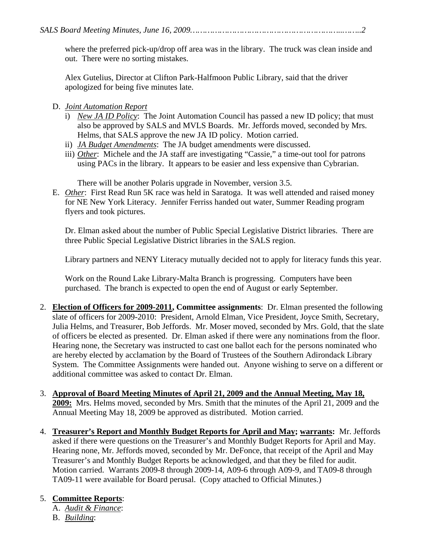where the preferred pick-up/drop off area was in the library. The truck was clean inside and out. There were no sorting mistakes.

Alex Gutelius, Director at Clifton Park-Halfmoon Public Library, said that the driver apologized for being five minutes late.

### D. *Joint Automation Report*

- i) *New JA ID Policy*: The Joint Automation Council has passed a new ID policy; that must also be approved by SALS and MVLS Boards. Mr. Jeffords moved, seconded by Mrs. Helms, that SALS approve the new JA ID policy. Motion carried.
- ii) *JA Budget Amendments*: The JA budget amendments were discussed.
- iii) *Other*: Michele and the JA staff are investigating "Cassie," a time-out tool for patrons using PACs in the library. It appears to be easier and less expensive than Cybrarian.

There will be another Polaris upgrade in November, version 3.5.

E. *Other*: First Read Run 5K race was held in Saratoga. It was well attended and raised money for NE New York Literacy. Jennifer Ferriss handed out water, Summer Reading program flyers and took pictures.

Dr. Elman asked about the number of Public Special Legislative District libraries. There are three Public Special Legislative District libraries in the SALS region.

Library partners and NENY Literacy mutually decided not to apply for literacy funds this year.

Work on the Round Lake Library-Malta Branch is progressing. Computers have been purchased. The branch is expected to open the end of August or early September.

- 2. **Election of Officers for 2009-2011, Committee assignments**: Dr. Elman presented the following slate of officers for 2009-2010: President, Arnold Elman, Vice President, Joyce Smith, Secretary, Julia Helms, and Treasurer, Bob Jeffords. Mr. Moser moved, seconded by Mrs. Gold, that the slate of officers be elected as presented. Dr. Elman asked if there were any nominations from the floor. Hearing none, the Secretary was instructed to cast one ballot each for the persons nominated who are hereby elected by acclamation by the Board of Trustees of the Southern Adirondack Library System. The Committee Assignments were handed out. Anyone wishing to serve on a different or additional committee was asked to contact Dr. Elman.
- 3. **Approval of Board Meeting Minutes of April 21, 2009 and the Annual Meeting, May 18, 2009:** Mrs. Helms moved, seconded by Mrs. Smith that the minutes of the April 21, 2009 and the Annual Meeting May 18, 2009 be approved as distributed. Motion carried.
- 4. **Treasurer's Report and Monthly Budget Reports for April and May; warrants:** Mr. Jeffords asked if there were questions on the Treasurer's and Monthly Budget Reports for April and May. Hearing none, Mr. Jeffords moved, seconded by Mr. DeFonce, that receipt of the April and May Treasurer's and Monthly Budget Reports be acknowledged, and that they be filed for audit. Motion carried. Warrants 2009-8 through 2009-14, A09-6 through A09-9, and TA09-8 through TA09-11 were available for Board perusal. (Copy attached to Official Minutes.)

## 5. **Committee Reports**:

- A. *Audit & Finance*:
- B. *Building*: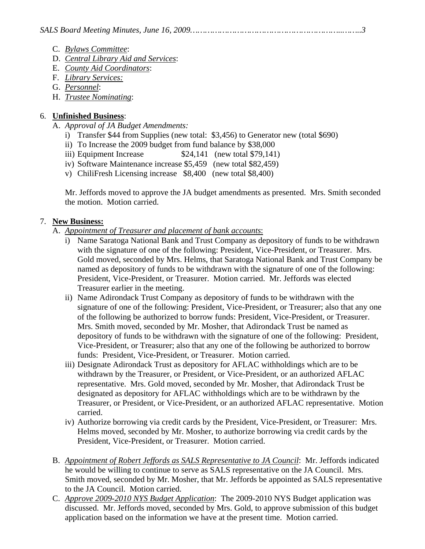- C. *Bylaws Committee*:
- D. *Central Library Aid and Services*:
- E. *County Aid Coordinators*:
- F. *Library Services:*
- G. *Personnel*:
- H. *Trustee Nominating*:

## 6. **Unfinished Business**:

- A. *Approval of JA Budget Amendments:* 
	- i) Transfer \$44 from Supplies (new total: \$3,456) to Generator new (total \$690)
	- ii) To Increase the 2009 budget from fund balance by \$38,000
	- iii) Equipment Increase  $$24,141$  (new total \$79,141)
	- iv) Software Maintenance increase \$5,459 (new total \$82,459)
	- v) ChiliFresh Licensing increase \$8,400 (new total \$8,400)

Mr. Jeffords moved to approve the JA budget amendments as presented. Mrs. Smith seconded the motion. Motion carried.

## 7. **New Business:**

- A. *Appointment of Treasurer and placement of bank accounts*:
	- i) Name Saratoga National Bank and Trust Company as depository of funds to be withdrawn with the signature of one of the following: President, Vice-President, or Treasurer. Mrs. Gold moved, seconded by Mrs. Helms, that Saratoga National Bank and Trust Company be named as depository of funds to be withdrawn with the signature of one of the following: President, Vice-President, or Treasurer. Motion carried. Mr. Jeffords was elected Treasurer earlier in the meeting.
	- ii) Name Adirondack Trust Company as depository of funds to be withdrawn with the signature of one of the following: President, Vice-President, or Treasurer; also that any one of the following be authorized to borrow funds: President, Vice-President, or Treasurer. Mrs. Smith moved, seconded by Mr. Mosher, that Adirondack Trust be named as depository of funds to be withdrawn with the signature of one of the following: President, Vice-President, or Treasurer; also that any one of the following be authorized to borrow funds: President, Vice-President, or Treasurer. Motion carried.
	- iii) Designate Adirondack Trust as depository for AFLAC withholdings which are to be withdrawn by the Treasurer, or President, or Vice-President, or an authorized AFLAC representative. Mrs. Gold moved, seconded by Mr. Mosher, that Adirondack Trust be designated as depository for AFLAC withholdings which are to be withdrawn by the Treasurer, or President, or Vice-President, or an authorized AFLAC representative. Motion carried.
	- iv) Authorize borrowing via credit cards by the President, Vice-President, or Treasurer: Mrs. Helms moved, seconded by Mr. Mosher, to authorize borrowing via credit cards by the President, Vice-President, or Treasurer. Motion carried.
- B. *Appointment of Robert Jeffords as SALS Representative to JA Council*: Mr. Jeffords indicated he would be willing to continue to serve as SALS representative on the JA Council. Mrs. Smith moved, seconded by Mr. Mosher, that Mr. Jeffords be appointed as SALS representative to the JA Council. Motion carried.
- C. *Approve 2009-2010 NYS Budget Application*: The 2009-2010 NYS Budget application was discussed. Mr. Jeffords moved, seconded by Mrs. Gold, to approve submission of this budget application based on the information we have at the present time. Motion carried.